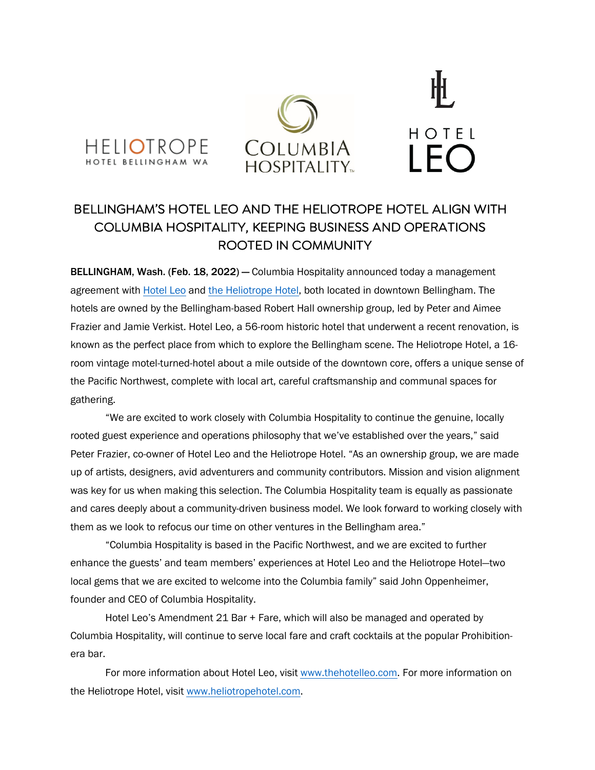





## BELLINGHAM'S HOTEL LEO AND THE HELIOTROPE HOTEL ALIGN WITH COLUMBIA HOSPITALITY, KEEPING BUSINESS AND OPERATIONS ROOTED IN COMMUNITY

BELLINGHAM, Wash. (Feb. 18, 2022) — Columbia Hospitality announced today a management agreement with Hotel Leo and the Heliotrope Hotel, both located in downtown Bellingham. The hotels are owned by the Bellingham-based Robert Hall ownership group, led by Peter and Aimee Frazier and Jamie Verkist. Hotel Leo, a 56-room historic hotel that underwent a recent renovation, is known as the perfect place from which to explore the Bellingham scene. The Heliotrope Hotel, a 16 room vintage motel-turned-hotel about a mile outside of the downtown core, offers a unique sense of the Pacific Northwest, complete with local art, careful craftsmanship and communal spaces for gathering.

"We are excited to work closely with Columbia Hospitality to continue the genuine, locally rooted guest experience and operations philosophy that we've established over the years," said Peter Frazier, co-owner of Hotel Leo and the Heliotrope Hotel. "As an ownership group, we are made up of artists, designers, avid adventurers and community contributors. Mission and vision alignment was key for us when making this selection. The Columbia Hospitality team is equally as passionate and cares deeply about a community-driven business model. We look forward to working closely with them as we look to refocus our time on other ventures in the Bellingham area."

"Columbia Hospitality is based in the Pacific Northwest, and we are excited to further enhance the guests' and team members' experiences at Hotel Leo and the Heliotrope Hotel—two local gems that we are excited to welcome into the Columbia family" said John Oppenheimer, founder and CEO of Columbia Hospitality.

Hotel Leo's Amendment 21 Bar + Fare, which will also be managed and operated by Columbia Hospitality, will continue to serve local fare and craft cocktails at the popular Prohibitionera bar.

For more information about Hotel Leo, visit www.thehotelleo.com. For more information on the Heliotrope Hotel, visit www.heliotropehotel.com.